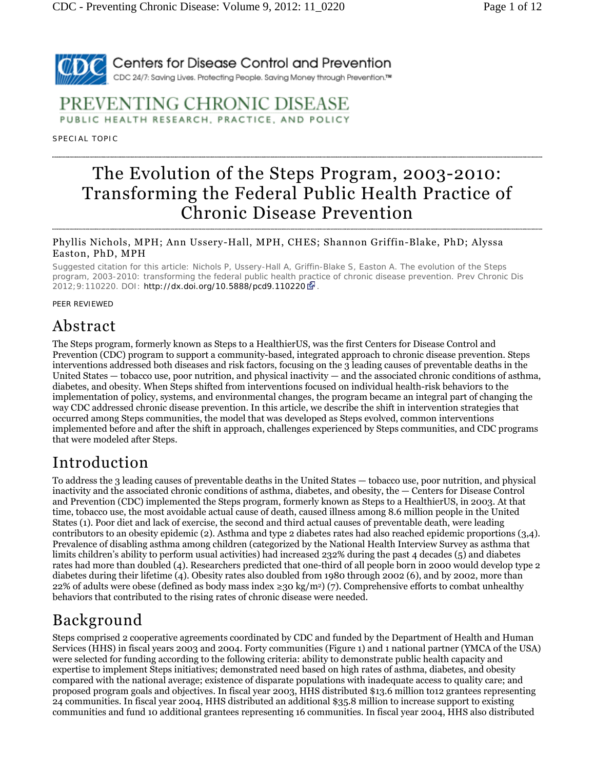

### PREVENTING CHRONIC DISEASE PUBLIC HEALTH RESEARCH, PRACTICE, AND POLICY

SPECIAL TOPIC

# The Evolution of the Steps Program, 2003-2010: Transforming the Federal Public Health Practice of Chronic Disease Prevention

#### Phyllis Nichols, MPH; Ann Ussery-Hall, MPH, CHES; Shannon Griffin-Blake, PhD; Alyssa Easton, PhD, MPH

*Suggested citation for this article:* Nichols P, Ussery-Hall A, Griffin-Blake S, Easton A. The evolution of the Steps program, 2003-2010: transforming the federal public health practice of chronic disease prevention. Prev Chronic Dis 2012;9:110220. DOI: http://dx.doi.org/10.5888/pcd9.110220

#### PEER REVIEWED

### Abstract

The Steps program, formerly known as Steps to a HealthierUS, was the first Centers for Disease Control and Prevention (CDC) program to support a community-based, integrated approach to chronic disease prevention. Steps interventions addressed both diseases and risk factors, focusing on the 3 leading causes of preventable deaths in the United States — tobacco use, poor nutrition, and physical inactivity — and the associated chronic conditions of asthma, diabetes, and obesity. When Steps shifted from interventions focused on individual health-risk behaviors to the implementation of policy, systems, and environmental changes, the program became an integral part of changing the way CDC addressed chronic disease prevention. In this article, we describe the shift in intervention strategies that occurred among Steps communities, the model that was developed as Steps evolved, common interventions implemented before and after the shift in approach, challenges experienced by Steps communities, and CDC programs that were modeled after Steps.

### Introduction

To address the 3 leading causes of preventable deaths in the United States — tobacco use, poor nutrition, and physical inactivity and the associated chronic conditions of asthma, diabetes, and obesity, the — Centers for Disease Control and Prevention (CDC) implemented the Steps program, formerly known as Steps to a HealthierUS, in 2003. At that time, tobacco use, the most avoidable actual cause of death, caused illness among 8.6 million people in the United States (1). Poor diet and lack of exercise, the second and third actual causes of preventable death, were leading contributors to an obesity epidemic (2). Asthma and type 2 diabetes rates had also reached epidemic proportions (3,4). Prevalence of disabling asthma among children (categorized by the National Health Interview Survey as asthma that limits children's ability to perform usual activities) had increased 232% during the past 4 decades (5) and diabetes rates had more than doubled (4). Researchers predicted that one-third of all people born in 2000 would develop type 2 diabetes during their lifetime (4). Obesity rates also doubled from 1980 through 2002 (6), and by 2002, more than 22% of adults were obese (defined as body mass index  $\geq$ 30 kg/m<sup>2</sup>) (7). Comprehensive efforts to combat unhealthy behaviors that contributed to the rising rates of chronic disease were needed.

# Background

Steps comprised 2 cooperative agreements coordinated by CDC and funded by the Department of Health and Human Services (HHS) in fiscal years 2003 and 2004. Forty communities (Figure 1) and 1 national partner (YMCA of the USA) were selected for funding according to the following criteria: ability to demonstrate public health capacity and expertise to implement Steps initiatives; demonstrated need based on high rates of asthma, diabetes, and obesity compared with the national average; existence of disparate populations with inadequate access to quality care; and proposed program goals and objectives. In fiscal year 2003, HHS distributed \$13.6 million to12 grantees representing 24 communities. In fiscal year 2004, HHS distributed an additional \$35.8 million to increase support to existing communities and fund 10 additional grantees representing 16 communities. In fiscal year 2004, HHS also distributed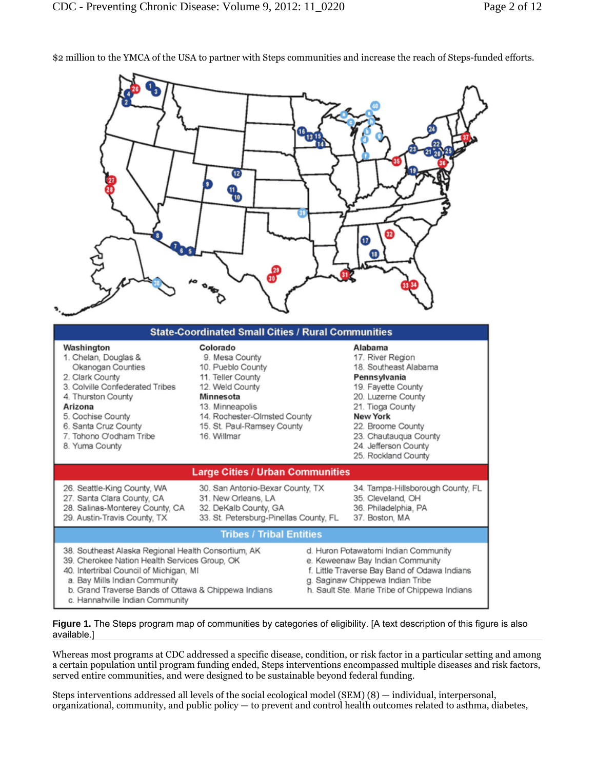\$2 million to the YMCA of the USA to partner with Steps communities and increase the reach of Steps-funded efforts.



**Figure 1.** The Steps program map of communities by categories of eligibility. [A text description of this figure is also available.]

Whereas most programs at CDC addressed a specific disease, condition, or risk factor in a particular setting and among a certain population until program funding ended, Steps interventions encompassed multiple diseases and risk factors, served entire communities, and were designed to be sustainable beyond federal funding.

Steps interventions addressed all levels of the social ecological model (SEM) (8) — individual, interpersonal, organizational, community, and public policy — to prevent and control health outcomes related to asthma, diabetes,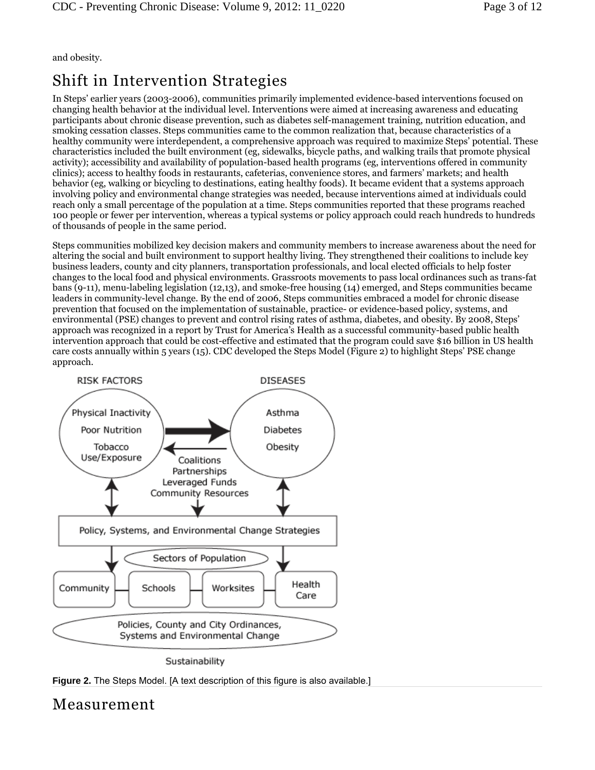and obesity.

# Shift in Intervention Strategies

In Steps' earlier years (2003-2006), communities primarily implemented evidence-based interventions focused on changing health behavior at the individual level. Interventions were aimed at increasing awareness and educating participants about chronic disease prevention, such as diabetes self-management training, nutrition education, and smoking cessation classes. Steps communities came to the common realization that, because characteristics of a healthy community were interdependent, a comprehensive approach was required to maximize Steps' potential. These characteristics included the built environment (eg, sidewalks, bicycle paths, and walking trails that promote physical activity); accessibility and availability of population-based health programs (eg, interventions offered in community clinics); access to healthy foods in restaurants, cafeterias, convenience stores, and farmers' markets; and health behavior (eg, walking or bicycling to destinations, eating healthy foods). It became evident that a systems approach involving policy and environmental change strategies was needed, because interventions aimed at individuals could reach only a small percentage of the population at a time. Steps communities reported that these programs reached 100 people or fewer per intervention, whereas a typical systems or policy approach could reach hundreds to hundreds of thousands of people in the same period.

Steps communities mobilized key decision makers and community members to increase awareness about the need for altering the social and built environment to support healthy living. They strengthened their coalitions to include key business leaders, county and city planners, transportation professionals, and local elected officials to help foster changes to the local food and physical environments. Grassroots movements to pass local ordinances such as trans-fat bans (9-11), menu-labeling legislation (12,13), and smoke-free housing (14) emerged, and Steps communities became leaders in community-level change. By the end of 2006, Steps communities embraced a model for chronic disease prevention that focused on the implementation of sustainable, practice- or evidence-based policy, systems, and environmental (PSE) changes to prevent and control rising rates of asthma, diabetes, and obesity. By 2008, Steps' approach was recognized in a report by Trust for America's Health as a successful community-based public health intervention approach that could be cost-effective and estimated that the program could save \$16 billion in US health care costs annually within 5 years (15). CDC developed the Steps Model (Figure 2) to highlight Steps' PSE change approach.



Sustainability



### Measurement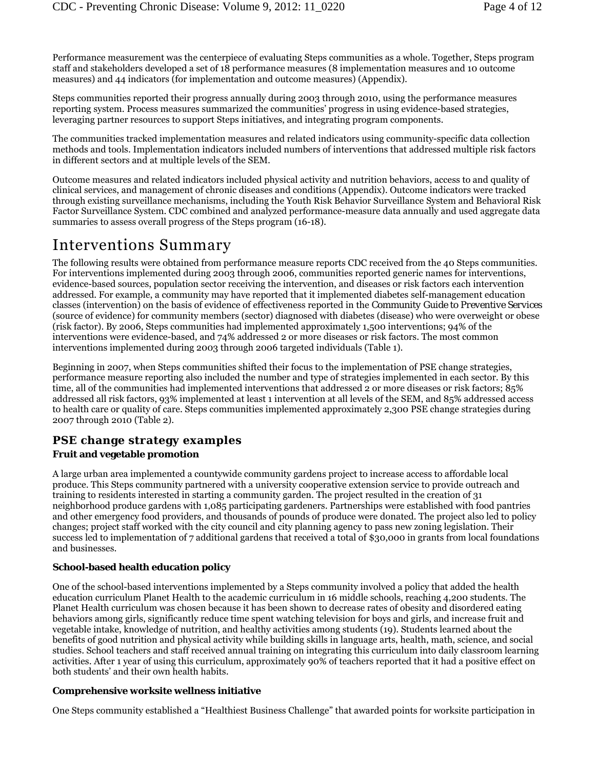Performance measurement was the centerpiece of evaluating Steps communities as a whole. Together, Steps program staff and stakeholders developed a set of 18 performance measures (8 implementation measures and 10 outcome measures) and 44 indicators (for implementation and outcome measures) (Appendix).

Steps communities reported their progress annually during 2003 through 2010, using the performance measures reporting system. Process measures summarized the communities' progress in using evidence-based strategies, leveraging partner resources to support Steps initiatives, and integrating program components.

The communities tracked implementation measures and related indicators using community-specific data collection methods and tools. Implementation indicators included numbers of interventions that addressed multiple risk factors in different sectors and at multiple levels of the SEM.

Outcome measures and related indicators included physical activity and nutrition behaviors, access to and quality of clinical services, and management of chronic diseases and conditions (Appendix). Outcome indicators were tracked through existing surveillance mechanisms, including the Youth Risk Behavior Surveillance System and Behavioral Risk Factor Surveillance System. CDC combined and analyzed performance-measure data annually and used aggregate data summaries to assess overall progress of the Steps program (16-18).

### Interventions Summary

The following results were obtained from performance measure reports CDC received from the 40 Steps communities. For interventions implemented during 2003 through 2006, communities reported generic names for interventions, evidence-based sources, population sector receiving the intervention, and diseases or risk factors each intervention addressed. For example, a community may have reported that it implemented diabetes self-management education classes (intervention) on the basis of evidence of effectiveness reported in the *Community Guide to Preventive Services* (source of evidence) for community members (sector) diagnosed with diabetes (disease) who were overweight or obese (risk factor). By 2006, Steps communities had implemented approximately 1,500 interventions; 94% of the interventions were evidence-based, and 74% addressed 2 or more diseases or risk factors. The most common interventions implemented during 2003 through 2006 targeted individuals (Table 1).

Beginning in 2007, when Steps communities shifted their focus to the implementation of PSE change strategies, performance measure reporting also included the number and type of strategies implemented in each sector. By this time, all of the communities had implemented interventions that addressed 2 or more diseases or risk factors; 85% addressed all risk factors, 93% implemented at least 1 intervention at all levels of the SEM, and 85% addressed access to health care or quality of care. Steps communities implemented approximately 2,300 PSE change strategies during 2007 through 2010 (Table 2).

### **PSE change strategy examples**

#### **Fruit and vegetable promotion**

A large urban area implemented a countywide community gardens project to increase access to affordable local produce. This Steps community partnered with a university cooperative extension service to provide outreach and training to residents interested in starting a community garden. The project resulted in the creation of 31 neighborhood produce gardens with 1,085 participating gardeners. Partnerships were established with food pantries and other emergency food providers, and thousands of pounds of produce were donated. The project also led to policy changes; project staff worked with the city council and city planning agency to pass new zoning legislation. Their success led to implementation of 7 additional gardens that received a total of \$30,000 in grants from local foundations and businesses.

#### **School-based health education policy**

One of the school-based interventions implemented by a Steps community involved a policy that added the health education curriculum Planet Health to the academic curriculum in 16 middle schools, reaching 4,200 students. The Planet Health curriculum was chosen because it has been shown to decrease rates of obesity and disordered eating behaviors among girls, significantly reduce time spent watching television for boys and girls, and increase fruit and vegetable intake, knowledge of nutrition, and healthy activities among students (19). Students learned about the benefits of good nutrition and physical activity while building skills in language arts, health, math, science, and social studies. School teachers and staff received annual training on integrating this curriculum into daily classroom learning activities. After 1 year of using this curriculum, approximately 90% of teachers reported that it had a positive effect on both students' and their own health habits.

#### **Comprehensive worksite wellness initiative**

One Steps community established a "Healthiest Business Challenge" that awarded points for worksite participation in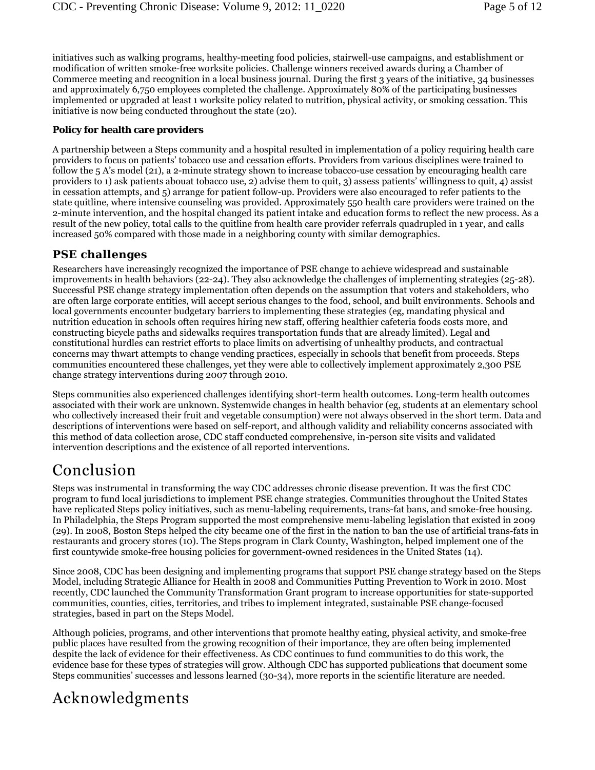initiatives such as walking programs, healthy-meeting food policies, stairwell-use campaigns, and establishment or modification of written smoke-free worksite policies. Challenge winners received awards during a Chamber of Commerce meeting and recognition in a local business journal. During the first 3 years of the initiative, 34 businesses and approximately 6,750 employees completed the challenge. Approximately 80% of the participating businesses implemented or upgraded at least 1 worksite policy related to nutrition, physical activity, or smoking cessation. This initiative is now being conducted throughout the state (20).

#### **Policy for health care providers**

A partnership between a Steps community and a hospital resulted in implementation of a policy requiring health care providers to focus on patients' tobacco use and cessation efforts. Providers from various disciplines were trained to follow the 5 A's model (21), a 2-minute strategy shown to increase tobacco-use cessation by encouraging health care providers to 1) ask patients abouat tobacco use, 2) advise them to quit, 3) assess patients' willingness to quit, 4) assist in cessation attempts, and 5) arrange for patient follow-up. Providers were also encouraged to refer patients to the state quitline, where intensive counseling was provided. Approximately 550 health care providers were trained on the 2-minute intervention, and the hospital changed its patient intake and education forms to reflect the new process. As a result of the new policy, total calls to the quitline from health care provider referrals quadrupled in 1 year, and calls increased 50% compared with those made in a neighboring county with similar demographics.

#### **PSE challenges**

Researchers have increasingly recognized the importance of PSE change to achieve widespread and sustainable improvements in health behaviors (22-24). They also acknowledge the challenges of implementing strategies (25-28). Successful PSE change strategy implementation often depends on the assumption that voters and stakeholders, who are often large corporate entities, will accept serious changes to the food, school, and built environments. Schools and local governments encounter budgetary barriers to implementing these strategies (eg, mandating physical and nutrition education in schools often requires hiring new staff, offering healthier cafeteria foods costs more, and constructing bicycle paths and sidewalks requires transportation funds that are already limited). Legal and constitutional hurdles can restrict efforts to place limits on advertising of unhealthy products, and contractual concerns may thwart attempts to change vending practices, especially in schools that benefit from proceeds. Steps communities encountered these challenges, yet they were able to collectively implement approximately 2,300 PSE change strategy interventions during 2007 through 2010.

Steps communities also experienced challenges identifying short-term health outcomes. Long-term health outcomes associated with their work are unknown. Systemwide changes in health behavior (eg, students at an elementary school who collectively increased their fruit and vegetable consumption) were not always observed in the short term. Data and descriptions of interventions were based on self-report, and although validity and reliability concerns associated with this method of data collection arose, CDC staff conducted comprehensive, in-person site visits and validated intervention descriptions and the existence of all reported interventions.

## Conclusion

Steps was instrumental in transforming the way CDC addresses chronic disease prevention. It was the first CDC program to fund local jurisdictions to implement PSE change strategies. Communities throughout the United States have replicated Steps policy initiatives, such as menu-labeling requirements, trans-fat bans, and smoke-free housing. In Philadelphia, the Steps Program supported the most comprehensive menu-labeling legislation that existed in 2009 (29). In 2008, Boston Steps helped the city became one of the first in the nation to ban the use of artificial trans-fats in restaurants and grocery stores (10). The Steps program in Clark County, Washington, helped implement one of the first countywide smoke-free housing policies for government-owned residences in the United States (14).

Since 2008, CDC has been designing and implementing programs that support PSE change strategy based on the Steps Model, including Strategic Alliance for Health in 2008 and Communities Putting Prevention to Work in 2010. Most recently, CDC launched the Community Transformation Grant program to increase opportunities for state-supported communities, counties, cities, territories, and tribes to implement integrated, sustainable PSE change-focused strategies, based in part on the Steps Model.

Although policies, programs, and other interventions that promote healthy eating, physical activity, and smoke-free public places have resulted from the growing recognition of their importance, they are often being implemented despite the lack of evidence for their effectiveness. As CDC continues to fund communities to do this work, the evidence base for these types of strategies will grow. Although CDC has supported publications that document some Steps communities' successes and lessons learned (30-34), more reports in the scientific literature are needed.

# Acknowledgments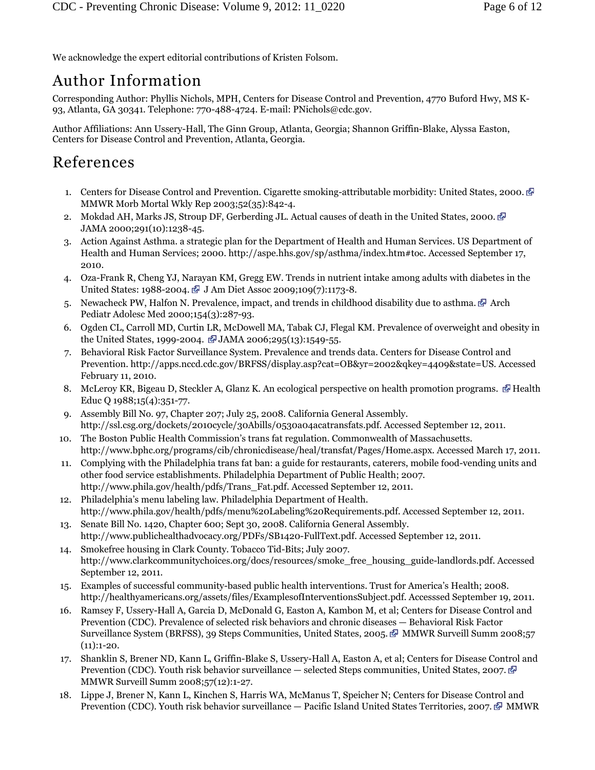We acknowledge the expert editorial contributions of Kristen Folsom.

## Author Information

Corresponding Author: Phyllis Nichols, MPH, Centers for Disease Control and Prevention, 4770 Buford Hwy, MS K-93, Atlanta, GA 30341. Telephone: 770-488-4724. E-mail: PNichols@cdc.gov.

Author Affiliations: Ann Ussery-Hall, The Ginn Group, Atlanta, Georgia; Shannon Griffin-Blake, Alyssa Easton, Centers for Disease Control and Prevention, Atlanta, Georgia.

## References

- 1. Centers for Disease Control and Prevention. Cigarette smoking-attributable morbidity: United States, 2000. MMWR Morb Mortal Wkly Rep 2003;52(35):842-4.
- 2. Mokdad AH, Marks JS, Stroup DF, Gerberding JL. Actual causes of death in the United States, 2000. JAMA 2000;291(10):1238-45.
- 3. Action Against Asthma. a strategic plan for the Department of Health and Human Services. US Department of Health and Human Services; 2000. http://aspe.hhs.gov/sp/asthma/index.htm#toc. Accessed September 17, 2010.
- 4. Oza-Frank R, Cheng YJ, Narayan KM, Gregg EW. Trends in nutrient intake among adults with diabetes in the United States: 1988-2004. J Am Diet Assoc 2009;109(7):1173-8.
- 5. Newacheck PW, Halfon N. Prevalence, impact, and trends in childhood disability due to asthma.  $\mathbb{F}$  Arch Pediatr Adolesc Med 2000;154(3):287-93.
- 6. Ogden CL, Carroll MD, Curtin LR, McDowell MA, Tabak CJ, Flegal KM. Prevalence of overweight and obesity in the United States, 1999-2004.  $\mathbb{F}$  JAMA 2006;295(13):1549-55.
- 7. Behavioral Risk Factor Surveillance System. Prevalence and trends data. Centers for Disease Control and Prevention. http://apps.nccd.cdc.gov/BRFSS/display.asp?cat=OB&yr=2002&qkey=4409&state=US. Accessed February 11, 2010.
- 8. McLeroy KR, Bigeau D, Steckler A, Glanz K. An ecological perspective on health promotion programs.  $\mathbb{F}$  Health Educ Q 1988;15(4):351-77.
- 9. Assembly Bill No. 97, Chapter 207; July 25, 2008. California General Assembly. http://ssl.csg.org/dockets/2010cycle/30Abills/0530a04acatransfats.pdf. Accessed September 12, 2011.
- 10. The Boston Public Health Commission's trans fat regulation. Commonwealth of Massachusetts. http://www.bphc.org/programs/cib/chronicdisease/heal/transfat/Pages/Home.aspx. Accessed March 17, 2011.
- 11. Complying with the Philadelphia trans fat ban: a guide for restaurants, caterers, mobile food-vending units and other food service establishments. Philadelphia Department of Public Health; 2007. http://www.phila.gov/health/pdfs/Trans\_Fat.pdf. Accessed September 12, 2011.
- 12. Philadelphia's menu labeling law. Philadelphia Department of Health. http://www.phila.gov/health/pdfs/menu%20Labeling%20Requirements.pdf. Accessed September 12, 2011.
- 13. Senate Bill No. 1420, Chapter 600; Sept 30, 2008. California General Assembly. http://www.publichealthadvocacy.org/PDFs/SB1420-FullText.pdf. Accessed September 12, 2011.
- 14. Smokefree housing in Clark County. Tobacco Tid-Bits; July 2007. http://www.clarkcommunitychoices.org/docs/resources/smoke\_free\_housing\_guide-landlords.pdf. Accessed September 12, 2011.
- 15. Examples of successful community-based public health interventions. Trust for America's Health; 2008. http://healthyamericans.org/assets/files/ExamplesofInterventionsSubject.pdf. Accesssed September 19, 2011.
- 16. Ramsey F, Ussery-Hall A, Garcia D, McDonald G, Easton A, Kambon M, et al; Centers for Disease Control and Prevention (CDC). Prevalence of selected risk behaviors and chronic diseases — Behavioral Risk Factor Surveillance System (BRFSS), 39 Steps Communities, United States, 2005. MMWR Surveill Summ 2008;57  $(11):1-20.$
- 17. Shanklin S, Brener ND, Kann L, Griffin-Blake S, Ussery-Hall A, Easton A, et al; Centers for Disease Control and Prevention (CDC). Youth risk behavior surveillance — selected Steps communities, United States, 2007. MMWR Surveill Summ 2008;57(12):1-27.
- 18. Lippe J, Brener N, Kann L, Kinchen S, Harris WA, McManus T, Speicher N; Centers for Disease Control and Prevention (CDC). Youth risk behavior surveillance — Pacific Island United States Territories, 2007. TMMWR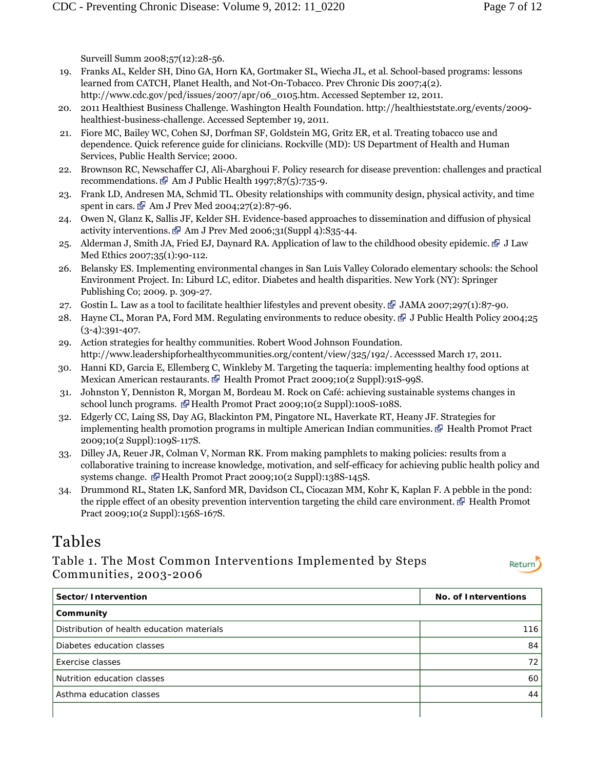Surveill Summ 2008;57(12):28-56.

- 19. Franks AL, Kelder SH, Dino GA, Horn KA, Gortmaker SL, Wiecha JL, et al. School-based programs: lessons learned from CATCH, Planet Health, and Not-On-Tobacco. Prev Chronic Dis 2007;4(2). http://www.cdc.gov/pcd/issues/2007/apr/06\_0105.htm. Accessed September 12, 2011.
- 20. 2011 Healthiest Business Challenge. Washington Health Foundation. http://healthieststate.org/events/2009 healthiest-business-challenge. Accessed September 19, 2011.
- 21. Fiore MC, Bailey WC, Cohen SJ, Dorfman SF, Goldstein MG, Gritz ER, et al. Treating tobacco use and dependence. Quick reference guide for clinicians. Rockville (MD): US Department of Health and Human Services, Public Health Service; 2000.
- 22. Brownson RC, Newschaffer CJ, Ali-Abarghoui F. Policy research for disease prevention: challenges and practical recommendations.  $\mathbb{F}$  Am J Public Health 1997;87(5):735-9.
- 23. Frank LD, Andresen MA, Schmid TL. Obesity relationships with community design, physical activity, and time spent in cars.  $\mathbb{F}$  Am J Prev Med 2004;27(2):87-96.
- 24. Owen N, Glanz K, Sallis JF, Kelder SH. Evidence-based approaches to dissemination and diffusion of physical activity interventions.  $\blacksquare$  Am J Prev Med 2006;31(Suppl 4):S35-44.
- 25. Alderman J, Smith JA, Fried EJ, Daynard RA. Application of law to the childhood obesity epidemic.  $\mathbb{F}$  J Law Med Ethics 2007;35(1):90-112.
- 26. Belansky ES. Implementing environmental changes in San Luis Valley Colorado elementary schools: the School Environment Project. In: Liburd LC, editor. Diabetes and health disparities. New York (NY): Springer Publishing Co; 2009. p. 309-27.
- 27. Gostin L. Law as a tool to facilitate healthier lifestyles and prevent obesity.  $\mathbb{F}$  JAMA 2007;297(1):87-90.
- 28. Hayne CL, Moran PA, Ford MM. Regulating environments to reduce obesity.  $\mathbb{F}$  J Public Health Policy 2004;25  $(3-4):391-407.$
- 29. Action strategies for healthy communities. Robert Wood Johnson Foundation. http://www.leadershipforhealthycommunities.org/content/view/325/192/. Accesssed March 17, 2011.
- 30. Hanni KD, Garcia E, Ellemberg C, Winkleby M. Targeting the taqueria: implementing healthy food options at Mexican American restaurants. Health Promot Pract 2009;10(2 Suppl):91S-99S.
- 31. Johnston Y, Denniston R, Morgan M, Bordeau M. Rock on Café: achieving sustainable systems changes in school lunch programs. Health Promot Pract 2009;10(2 Suppl):100S-108S.
- 32. Edgerly CC, Laing SS, Day AG, Blackinton PM, Pingatore NL, Haverkate RT, Heany JF. Strategies for implementing health promotion programs in multiple American Indian communities.  $\mathbb{F}$  Health Promot Pract 2009;10(2 Suppl):109S-117S.
- 33. Dilley JA, Reuer JR, Colman V, Norman RK. From making pamphlets to making policies: results from a collaborative training to increase knowledge, motivation, and self-efficacy for achieving public health policy and systems change.  $\blacksquare$  Health Promot Pract 2009;10(2 Suppl):138S-145S.
- 34. Drummond RL, Staten LK, Sanford MR, Davidson CL, Ciocazan MM, Kohr K, Kaplan F. A pebble in the pond: the ripple effect of an obesity prevention intervention targeting the child care environment.  $\mathbb{F}$  Health Promot Pract 2009;10(2 Suppl):156S-167S.

## Tables

Table 1. The Most Common Interventions Implemented by Steps Communities, 2003-2006



| Sector/Intervention                        | No. of Interventions |
|--------------------------------------------|----------------------|
| Community                                  |                      |
| Distribution of health education materials | 116                  |
| Diabetes education classes                 | 84                   |
| Exercise classes                           | 72                   |
| Nutrition education classes                | 60                   |
| Asthma education classes                   | 44                   |
|                                            |                      |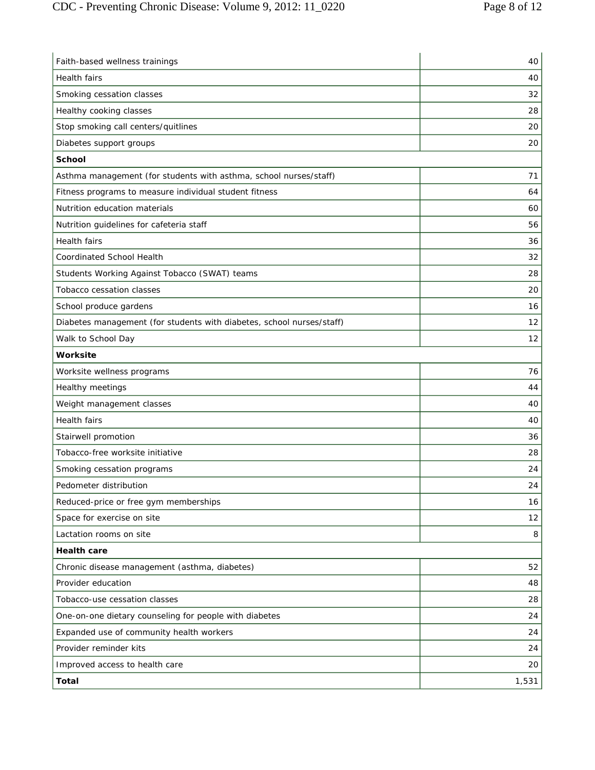| Faith-based wellness trainings                                        | 40    |
|-----------------------------------------------------------------------|-------|
| Health fairs                                                          | 40    |
| Smoking cessation classes                                             | 32    |
| Healthy cooking classes                                               | 28    |
| Stop smoking call centers/quitlines                                   | 20    |
| Diabetes support groups                                               | 20    |
| <b>School</b>                                                         |       |
| Asthma management (for students with asthma, school nurses/staff)     | 71    |
| Fitness programs to measure individual student fitness                | 64    |
| Nutrition education materials                                         | 60    |
| Nutrition guidelines for cafeteria staff                              | 56    |
| Health fairs                                                          | 36    |
| <b>Coordinated School Health</b>                                      | 32    |
| Students Working Against Tobacco (SWAT) teams                         | 28    |
| <b>Tobacco cessation classes</b>                                      | 20    |
| School produce gardens                                                | 16    |
| Diabetes management (for students with diabetes, school nurses/staff) | 12    |
| Walk to School Day                                                    | 12    |
| Worksite                                                              |       |
| Worksite wellness programs                                            | 76    |
| Healthy meetings                                                      | 44    |
| Weight management classes                                             | 40    |
| Health fairs                                                          | 40    |
| Stairwell promotion                                                   | 36    |
| Tobacco-free worksite initiative                                      | 28    |
| Smoking cessation programs                                            | 24    |
| Pedometer distribution                                                | 24    |
| Reduced-price or free gym memberships                                 | 16    |
| Space for exercise on site                                            | 12    |
| Lactation rooms on site                                               | 8     |
| <b>Health care</b>                                                    |       |
| Chronic disease management (asthma, diabetes)                         | 52    |
| Provider education                                                    | 48    |
| Tobacco-use cessation classes                                         | 28    |
| One-on-one dietary counseling for people with diabetes                | 24    |
| Expanded use of community health workers                              | 24    |
| Provider reminder kits                                                | 24    |
| Improved access to health care                                        | 20    |
| <b>Total</b>                                                          | 1,531 |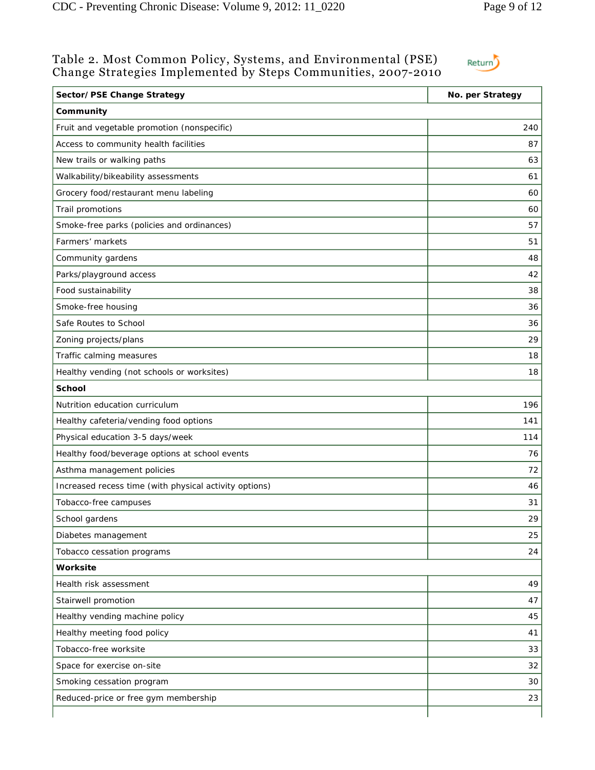### Table 2. Most Common Policy, Systems, and Environmental (PSE) Change Strategies Implemented by Steps Communities, 2007-2010

Return

| Sector/PSE Change Strategy                             | No. per Strategy |
|--------------------------------------------------------|------------------|
| Community                                              |                  |
| Fruit and vegetable promotion (nonspecific)            | 240              |
| Access to community health facilities                  | 87               |
| New trails or walking paths                            | 63               |
| Walkability/bikeability assessments                    | 61               |
| Grocery food/restaurant menu labeling                  | 60               |
| Trail promotions                                       | 60               |
| Smoke-free parks (policies and ordinances)             | 57               |
| Farmers' markets                                       | 51               |
| Community gardens                                      | 48               |
| Parks/playground access                                | 42               |
| Food sustainability                                    | 38               |
| Smoke-free housing                                     | 36               |
| Safe Routes to School                                  | 36               |
| Zoning projects/plans                                  | 29               |
| Traffic calming measures                               | 18               |
| Healthy vending (not schools or worksites)             | 18               |
| <b>School</b>                                          |                  |
| Nutrition education curriculum                         | 196              |
| Healthy cafeteria/vending food options                 | 141              |
| Physical education 3-5 days/week                       | 114              |
| Healthy food/beverage options at school events         | 76               |
| Asthma management policies                             | 72               |
| Increased recess time (with physical activity options) | 46               |
| Tobacco-free campuses                                  | 31               |
| School gardens                                         | 29               |
| Diabetes management                                    | 25               |
| Tobacco cessation programs                             | 24               |
| Worksite                                               |                  |
| Health risk assessment                                 | 49               |
| Stairwell promotion                                    | 47               |
| Healthy vending machine policy                         | 45               |
| Healthy meeting food policy                            | 41               |
| Tobacco-free worksite                                  | 33               |
| Space for exercise on-site                             | 32               |
| Smoking cessation program                              | 30               |
| Reduced-price or free gym membership                   | 23               |
|                                                        |                  |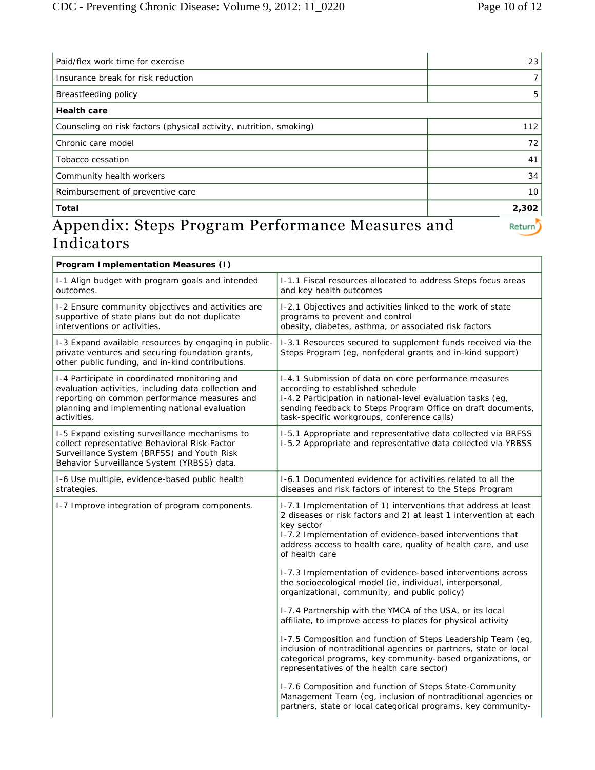| Paid/flex work time for exercise                                                                                                          | 23    |
|-------------------------------------------------------------------------------------------------------------------------------------------|-------|
| Insurance break for risk reduction                                                                                                        |       |
| Breastfeeding policy                                                                                                                      | 5     |
| <b>Health care</b>                                                                                                                        |       |
| Counseling on risk factors (physical activity, nutrition, smoking)                                                                        | 112   |
| Chronic care model                                                                                                                        | 72    |
| Tobacco cessation                                                                                                                         | 41    |
| Community health workers                                                                                                                  | 34    |
| Reimbursement of preventive care                                                                                                          | 10    |
| Total                                                                                                                                     | 2,302 |
| Appendix: Stons Drogram Dorformange Moosures and<br>$\mathbf{F}^{\mathbf{A}}$ and $\mathbf{F}^{\mathbf{A}}$ and $\mathbf{F}^{\mathbf{A}}$ |       |

### Appendix: Steps Program Performance Measures and Indicators  $\overline{a}$

Return)

| <b>Program Implementation Measures (I)</b>                                                                                                                                                                            |                                                                                                                                                                                                                                                                                                    |
|-----------------------------------------------------------------------------------------------------------------------------------------------------------------------------------------------------------------------|----------------------------------------------------------------------------------------------------------------------------------------------------------------------------------------------------------------------------------------------------------------------------------------------------|
| I-1 Align budget with program goals and intended<br>outcomes.                                                                                                                                                         | I-1.1 Fiscal resources allocated to address Steps focus areas<br>and key health outcomes                                                                                                                                                                                                           |
| I-2 Ensure community objectives and activities are<br>supportive of state plans but do not duplicate<br>interventions or activities.                                                                                  | I-2.1 Objectives and activities linked to the work of state<br>programs to prevent and control<br>obesity, diabetes, asthma, or associated risk factors                                                                                                                                            |
| I-3 Expand available resources by engaging in public-<br>private ventures and securing foundation grants,<br>other public funding, and in-kind contributions.                                                         | I-3.1 Resources secured to supplement funds received via the<br>Steps Program (eg, nonfederal grants and in-kind support)                                                                                                                                                                          |
| I-4 Participate in coordinated monitoring and<br>evaluation activities, including data collection and<br>reporting on common performance measures and<br>planning and implementing national evaluation<br>activities. | I-4.1 Submission of data on core performance measures<br>according to established schedule<br>I-4.2 Participation in national-level evaluation tasks (eg,<br>sending feedback to Steps Program Office on draft documents,<br>task-specific workgroups, conference calls)                           |
| 1-5 Expand existing surveillance mechanisms to<br>collect representative Behavioral Risk Factor<br>Surveillance System (BRFSS) and Youth Risk<br>Behavior Surveillance System (YRBSS) data.                           | I-5.1 Appropriate and representative data collected via BRFSS<br>I-5.2 Appropriate and representative data collected via YRBSS                                                                                                                                                                     |
| I-6 Use multiple, evidence-based public health<br>strategies.                                                                                                                                                         | 1-6.1 Documented evidence for activities related to all the<br>diseases and risk factors of interest to the Steps Program                                                                                                                                                                          |
| I-7 Improve integration of program components.                                                                                                                                                                        | I-7.1 Implementation of 1) interventions that address at least<br>2 diseases or risk factors and 2) at least 1 intervention at each<br>key sector<br>1-7.2 Implementation of evidence-based interventions that<br>address access to health care, quality of health care, and use<br>of health care |
|                                                                                                                                                                                                                       | I-7.3 Implementation of evidence-based interventions across<br>the socioecological model (ie, individual, interpersonal,<br>organizational, community, and public policy)                                                                                                                          |
|                                                                                                                                                                                                                       | I-7.4 Partnership with the YMCA of the USA, or its local<br>affiliate, to improve access to places for physical activity                                                                                                                                                                           |
|                                                                                                                                                                                                                       | I-7.5 Composition and function of Steps Leadership Team (eg,<br>inclusion of nontraditional agencies or partners, state or local<br>categorical programs, key community-based organizations, or<br>representatives of the health care sector)                                                      |
|                                                                                                                                                                                                                       | I-7.6 Composition and function of Steps State-Community<br>Management Team (eg, inclusion of nontraditional agencies or<br>partners, state or local categorical programs, key community-                                                                                                           |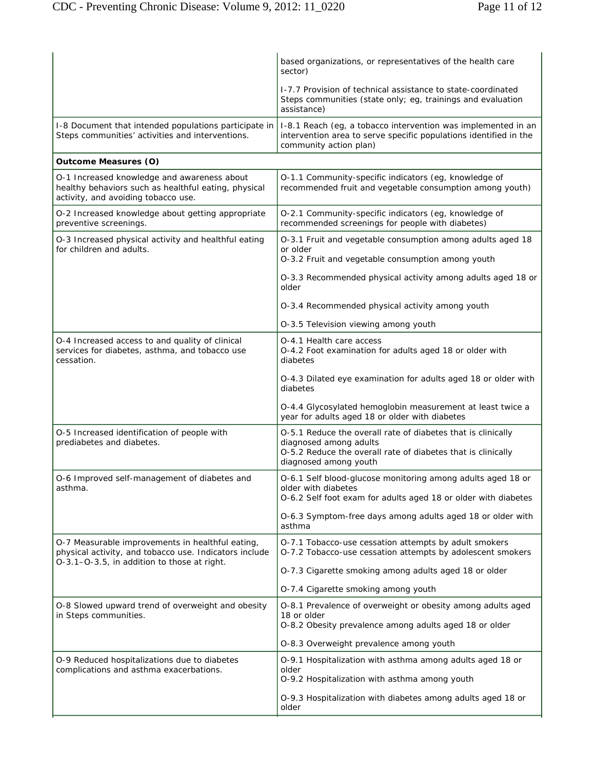|                                                                                                                                                           | based organizations, or representatives of the health care<br>sector)                                                                                                           |
|-----------------------------------------------------------------------------------------------------------------------------------------------------------|---------------------------------------------------------------------------------------------------------------------------------------------------------------------------------|
|                                                                                                                                                           | 1-7.7 Provision of technical assistance to state-coordinated<br>Steps communities (state only; eg, trainings and evaluation<br>assistance)                                      |
| I-8 Document that intended populations participate in<br>Steps communities' activities and interventions.                                                 | I-8.1 Reach (eg, a tobacco intervention was implemented in an<br>intervention area to serve specific populations identified in the<br>community action plan)                    |
| <b>Outcome Measures (O)</b>                                                                                                                               |                                                                                                                                                                                 |
| O-1 Increased knowledge and awareness about<br>healthy behaviors such as healthful eating, physical<br>activity, and avoiding tobacco use.                | O-1.1 Community-specific indicators (eg, knowledge of<br>recommended fruit and vegetable consumption among youth)                                                               |
| O-2 Increased knowledge about getting appropriate<br>preventive screenings.                                                                               | O-2.1 Community-specific indicators (eg, knowledge of<br>recommended screenings for people with diabetes)                                                                       |
| O-3 Increased physical activity and healthful eating<br>for children and adults.                                                                          | O-3.1 Fruit and vegetable consumption among adults aged 18<br>or older<br>O-3.2 Fruit and vegetable consumption among youth                                                     |
|                                                                                                                                                           | O-3.3 Recommended physical activity among adults aged 18 or<br>older                                                                                                            |
|                                                                                                                                                           | O-3.4 Recommended physical activity among youth                                                                                                                                 |
|                                                                                                                                                           | O-3.5 Television viewing among youth                                                                                                                                            |
| O-4 Increased access to and quality of clinical<br>services for diabetes, asthma, and tobacco use<br>cessation.                                           | O-4.1 Health care access<br>O-4.2 Foot examination for adults aged 18 or older with<br>diabetes                                                                                 |
|                                                                                                                                                           | O-4.3 Dilated eye examination for adults aged 18 or older with<br>diabetes                                                                                                      |
|                                                                                                                                                           | O-4.4 Glycosylated hemoglobin measurement at least twice a<br>year for adults aged 18 or older with diabetes                                                                    |
| O-5 Increased identification of people with<br>prediabetes and diabetes.                                                                                  | O-5.1 Reduce the overall rate of diabetes that is clinically<br>diagnosed among adults<br>O-5.2 Reduce the overall rate of diabetes that is clinically<br>diagnosed among youth |
| O-6 Improved self-management of diabetes and<br>asthma.                                                                                                   | O-6.1 Self blood-glucose monitoring among adults aged 18 or<br>older with diabetes<br>O-6.2 Self foot exam for adults aged 18 or older with diabetes                            |
|                                                                                                                                                           | O-6.3 Symptom-free days among adults aged 18 or older with<br>asthma                                                                                                            |
| O-7 Measurable improvements in healthful eating,<br>physical activity, and tobacco use. Indicators include<br>O-3.1-O-3.5, in addition to those at right. | O-7.1 Tobacco-use cessation attempts by adult smokers<br>O-7.2 Tobacco-use cessation attempts by adolescent smokers                                                             |
|                                                                                                                                                           | O-7.3 Cigarette smoking among adults aged 18 or older                                                                                                                           |
|                                                                                                                                                           | O-7.4 Cigarette smoking among youth                                                                                                                                             |
| O-8 Slowed upward trend of overweight and obesity<br>in Steps communities.                                                                                | O-8.1 Prevalence of overweight or obesity among adults aged<br>18 or older<br>O-8.2 Obesity prevalence among adults aged 18 or older                                            |
|                                                                                                                                                           | O-8.3 Overweight prevalence among youth                                                                                                                                         |
| O-9 Reduced hospitalizations due to diabetes<br>complications and asthma exacerbations.                                                                   | O-9.1 Hospitalization with asthma among adults aged 18 or<br>older<br>O-9.2 Hospitalization with asthma among youth                                                             |
|                                                                                                                                                           | O-9.3 Hospitalization with diabetes among adults aged 18 or<br>older                                                                                                            |